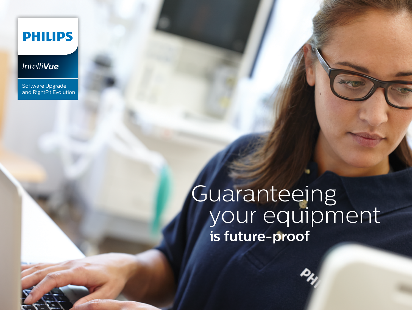### **PHILIPS**

#### *IntelliVue*

Software Upgrade and RightFit Evolution

# Guaranteeing your equipment  **is future-proof**

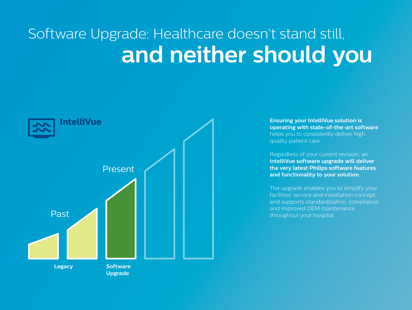# Software Upgrade: Healthcare doesn't stand still, **and neither should you**



**Ensuring your IntelliVue solution is operating with state-of-the-art software**  helps you to consistently deliver high quality patient care.

Regardless of your current revision, an **IntelliVue software upgrade will deliver the very latest Philips software features and functionality to your solution.** 

The upgrade enables you to simplify your facilities' service and installation concept, and supports standardization, compliance, and improved OEM maintenance throughout your hospital.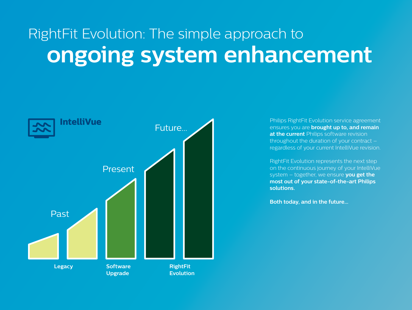# RightFit Evolution: The simple approach to **ongoing system enhancement**



Philips RightFit Evolution service agreement ensures you are **brought up to, and remain at the current** Philips software revision throughout the duration of your contract – regardless of your current IntelliVue revision.

RightFit Evolution represents the next step on the continuous journey of your IntelliVue system – together, we ensure **you get the most out of your state-of-the-art Philips solutions.**

**Both today, and in the future...**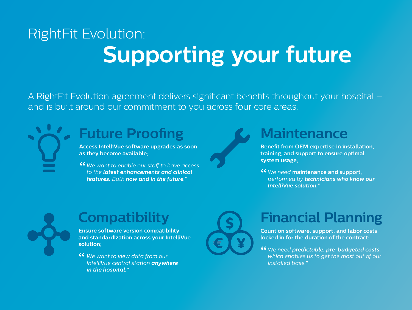# RightFit Evolution: **Supporting your future**

A RightFit Evolution agreement delivers significant benefits throughout your hospital – and is built around our commitment to you across four core areas:

### **Future Proofing**

**Access IntelliVue software upgrades as soon as they become available;** 

*We want to enable our staff to have access*  **"** *to the latest enhancements and clinical features. Both now and in the future."*

### **Maintenance**

**Benefit from OEM expertise in installation, training, and support to ensure optimal system usage;** 

*We need* **maintenance and support, "** *performed by technicians who know our IntelliVue solution."*



### **Compatibility**

**Ensure software version compatibility and standardization across your IntelliVue solution;**

<sup>46</sup> We want to view data from our<br>IntelliVue central station **anywh** *IntelliVue central station anywhere in the hospital."*



### **Financial Planning**

**Count on software, support, and labor costs locked in for the duration of the contract;**

*We need predictable, pre-budgeted costs.*  **"** *which enables us to get the most out of our installed base."*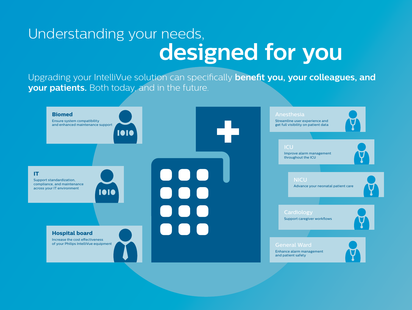# Understanding your needs, **designed for you**

Upgrading your IntelliVue solution can specifically **benefit you, your colleagues, and your patients.** Both today, and in the future.

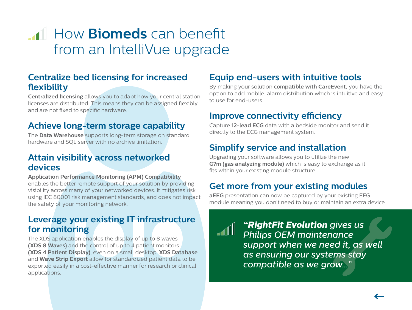### <span id="page-5-0"></span>**How Biomeds** can benefit from an IntelliVue upgrade

#### **Centralize bed licensing for increased flexibility**

**Centralized licensing** allows you to adapt how your central station licenses are distributed. This means they can be assigned flexibly and are not fixed to specific hardware.

#### **Achieve long-term storage capability**

The **Data Warehouse** supports long-term storage on standard hardware and SQL server with no archive limitation.

#### **Attain visibility across networked devices**

**Application Performance Monitoring (APM) Compatibility** enables the better remote support of your solution by providing visibility across many of your networked devices. It mitigates risk using IEC 80001 risk management standards, and does not impact the safety of your monitoring network.

#### **Leverage your existing IT infrastructure for monitoring**

The XDS application enables the display of up to 8 waves **(XDS 8 Waves)** and the control of up to 4 patient monitors **(XDS 4 Patient Display)**, even on a small desktop. **XDS Database** and **Wave Strip Export** allow for standardized patient data to be exported easily in a cost-effective manner for research or clinical applications.

#### **Equip end-users with intuitive tools**

By making your solution **compatible with CareEvent,** you have the option to add mobile, alarm distribution which is intuitive and easy to use for end-users.

#### **Improve connectivity efficiency**

Capture **12-lead ECG** data with a bedside monitor and send it directly to the ECG management system.

#### **Simplify service and installation**

Upgrading your software allows you to utilize the new **G7m (gas analyzing module)** which is easy to exchange as it fits within your existing module structure.

#### **Get more from your existing modules**

**aEEG** presentation can now be captured by your existing EEG module meaning you don't need to buy or maintain an extra device.

*["RightFit Evolution](#page-13-0) gives us Philips OEM maintenance support when we need it, as well as ensuring our systems stay compatible as we grow..."*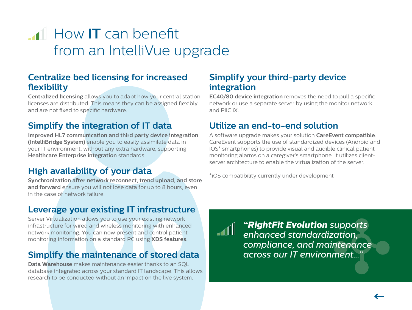## <span id="page-6-0"></span>**How IT** can benefit from an IntelliVue upgrade

#### **Centralize bed licensing for increased flexibility**

**Centralized licensing** allows you to adapt how your central station licenses are distributed. This means they can be assigned flexibly and are not fixed to specific hardware.

#### **Simplify the integration of IT data**

**Improved HL7 communication and third party device integration (IntelliBridge System)** enable you to easily assimilate data in your IT environment, without any extra hardware, supporting **Healthcare Enterprise integration** standards.

### **High availability of your data**

**Synchronization after network reconnect, trend upload, and store and forward** ensure you will not lose data for up to 8 hours, even in the case of network failure.

#### **Leverage your existing IT infrastructure**

Server Virtualization allows you to use your existing network infrastructure for wired and wireless monitoring with enhanced network monitoring. You can now present and control patient monitoring information on a standard PC using **XDS features**.

#### **Simplify the maintenance of stored data**

**Data Warehouse** makes maintenance easier thanks to an SQL database integrated across your standard IT landscape. This allows research to be conducted without an impact on the live system.

#### **Simplify your third-party device integration**

**EC40/80 device integration** removes the need to pull a specific network or use a separate server by using the monitor network and PIIC iX.

#### **Utilize an end-to-end solution**

A software upgrade makes your solution **CareEvent compatible**. CareEvent supports the use of standardized devices (Android and iOS\* smartphones) to provide visual and audible clinical patient monitoring alarms on a caregiver's smartphone. It utilizes clientserver architecture to enable the virtualization of the server.

\*iOS compatibility currently under development

*["RightFit Evolution](#page-13-0) supports enhanced standardization, compliance, and maintenance across our IT environment..."*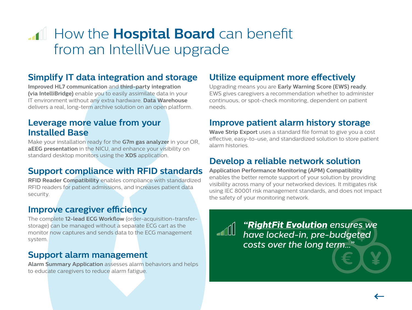### <span id="page-7-0"></span>**How the Hospital Board** can benefit from an IntelliVue upgrade

#### **Simplify IT data integration and storage**

**Improved HL7 communication** and **third-party integration (via IntelliBridge)** enable you to easily assimilate data in your IT environment without any extra hardware. **Data Warehouse** delivers a real, long-term archive solution on an open platform.

#### **Leverage more value from your Installed Base**

Make your installation ready for the **G7m gas analyzer** in your OR, **aEEG presentation** in the NICU, and enhance your visibility on standard desktop monitors using the **XDS** application.

#### **Support compliance with RFID standards**

**RFID Reader Compatibility** enables compliance with standardized RFID readers for patient admissions, and increases patient data security.

#### **Improve caregiver efficiency**

The complete **12-lead ECG Workflow** (order-acquisition-transferstorage) can be managed without a separate ECG cart as the monitor now captures and sends data to the ECG management system.

#### **Support alarm management**

**Alarm Summary Application** assesses alarm behaviors and helps to educate caregivers to reduce alarm fatigue.

#### **Utilize equipment more effectively**

Upgrading means you are **Early Warning Score (EWS) ready**. EWS gives caregivers a recommendation whether to administer continuous, or spot-check monitoring, dependent on patient needs.

#### **Improve patient alarm history storage**

**Wave Strip Export** uses a standard file format to give you a cost effective, easy-to-use, and standardized solution to store patient alarm histories.

#### **Develop a reliable network solution**

**Application Performance Monitoring (APM) Compatibility** enables the better remote support of your solution by providing visibility across many of your networked devices. It mitigates risk using IEC 80001 risk management standards, and does not impact the safety of your monitoring network.



*["RightFit Evolution](#page-13-0) ensures we have locked-in, pre-budgeted costs over the long term..."*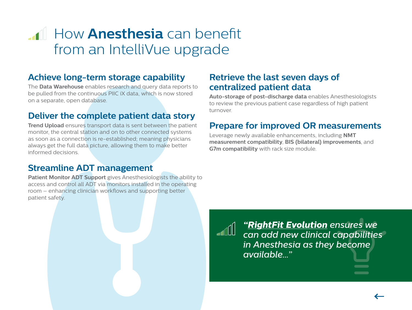### <span id="page-8-0"></span>**How Anesthesia** can benefit from an IntelliVue upgrade

#### **Achieve long-term storage capability**

The **Data Warehouse** enables research and query data reports to be pulled from the continuous PIIC iX data, which is now stored on a separate, open database.

#### **Deliver the complete patient data story**

**Trend Upload** ensures transport data is sent between the patient monitor, the central station and on to other connected systems as soon as a connection is re-established; meaning physicians always get the full data picture, allowing them to make better informed decisions.

#### **Streamline ADT management**

**Patient Monitor ADT Support** gives Anesthesiologists the ability to access and control all ADT via monitors installed in the operating room – enhancing clinician workflows and supporting better patient safety.

#### **Retrieve the last seven days of centralized patient data**

**Auto-storage of post-discharge data** enables Anesthesiologists to review the previous patient case regardless of high patient turnover.

#### **Prepare for improved OR measurements**

Leverage newly available enhancements, including **NMT measurement compatibility**, **BIS (bilateral) improvements**, and **G7m compatibility** with rack size module.

*["RightFit Evolution](#page-13-0) ensures we can add new clinical capabilities in Anesthesia as they become available..."*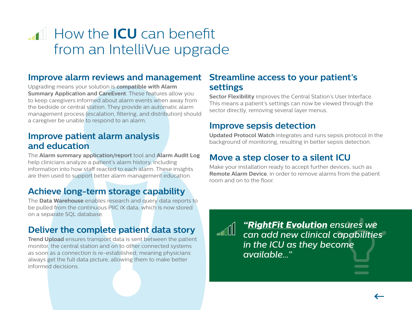### <span id="page-9-0"></span>**How the <b>ICU** can benefit from an IntelliVue upgrade

#### **Improve alarm reviews and management**

Upgrading means your solution is **compatible with Alarm Summary Application and CareEvent**. These features allow you to keep caregivers informed about alarm events when away from the bedside or central station. They provide an automatic alarm management process (escalation, filtering, and distribution) should a caregiver be unable to respond to an alarm.

#### **Improve patient alarm analysis and education**

The **Alarm summary application/report** tool and **Alarm Audit Log** help clinicians analyze a patient's alarm history, including information into how staff reacted to each alarm. These insights are then used to support better alarm management education.

#### **Achieve long-term storage capability**

The **Data Warehouse** enables research and query data reports to be pulled from the continuous PIIC iX data, which is now stored on a separate SQL database.

#### **Deliver the complete patient data story**

**Trend Upload** ensures transport data is sent between the patient monitor, the central station and on to other connected systems as soon as a connection is re-established; meaning physicians always get the full data picture, allowing them to make better informed decisions.

#### **Streamline access to your patient's settings**

**Sector Flexibility** improves the Central Station's User Interface. This means a patient's settings can now be viewed through the sector directly, removing several layer menus.

#### **Improve sepsis detection**

**Updated Protocol Watch** integrates and runs sepsis protocol in the background of monitoring, resulting in better sepsis detection.

#### **Move a step closer to a silent ICU**

Make your installation ready to accept further devices, such as **Remote Alarm Device**, in order to remove alarms from the patient room and on to the floor.



*["RightFit Evolution](#page-13-0) ensures we can add new clinical capabilities in the ICU as they become available..."*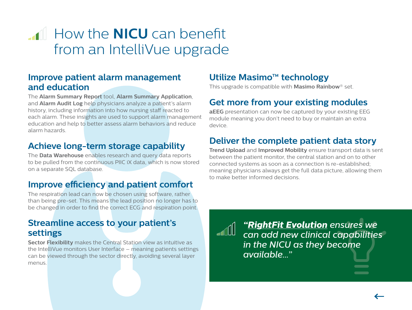### <span id="page-10-0"></span>**How the <b>NICU** can benefit from an IntelliVue upgrade

#### **Improve patient alarm management and education**

The **Alarm Summary Report** tool, **Alarm Summary Application**, and **Alarm Audit Log** help physicians analyze a patient's alarm history, including information into how nursing staff reacted to each alarm. These insights are used to support alarm management education and help to better assess alarm behaviors and reduce alarm hazards.

#### **Achieve long-term storage capability**

The **Data Warehouse** enables research and query data reports to be pulled from the continuous PIIC iX data, which is now stored on a separate SQL database.

#### **Improve efficiency and patient comfort**

The respiration lead can now be chosen using software, rather than being pre-set. This means the lead position no longer has to be changed in order to find the correct ECG and respiration point.

#### **Streamline access to your patient's settings**

**Sector Flexibility** makes the Central Station view as intuitive as the IntelliVue monitors User Interface – meaning patients settings can be viewed through the sector directly, avoiding several layer menus.

#### **Utilize Masimo™ technology**

This upgrade is compatible with **Masimo Rainbow**® set.

#### **Get more from your existing modules**

**aEEG** presentation can now be captured by your existing EEG module meaning you don't need to buy or maintain an extra device.

#### **Deliver the complete patient data story**

**Trend Upload** and **Improved Mobility** ensure transport data is sent between the patient monitor, the central station and on to other connected systems as soon as a connection is re-established; meaning physicians always get the full data picture, allowing them to make better informed decisions.



*["RightFit Evolution](#page-13-0) ensures we can add new clinical capabilities in the NICU as they become available..."*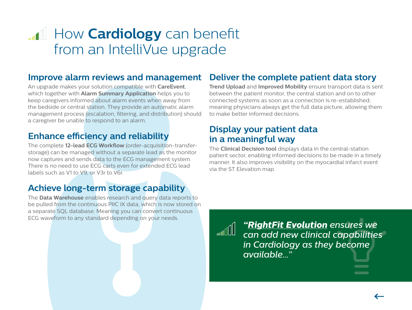### <span id="page-11-0"></span>**How Cardiology** can benefit from an IntelliVue upgrade

#### **Improve alarm reviews and management**

An upgrade makes your solution compatible with **CareEvent**, which together with **Alarm Summary Application** helps you to keep caregivers informed about alarm events when away from the bedside or central station. They provide an automatic alarm management process (escalation, filtering, and distribution) should a caregiver be unable to respond to an alarm.

#### **Enhance efficiency and reliability**

The complete **12-lead ECG Workflow** (order-acquisition-transferstorage) can be managed without a separate lead as the monitor now captures and sends data to the ECG management system. There is no need to use ECG carts even for extended ECG lead labels such as V1 to V9, or V3r to V6r.

#### **Achieve long-term storage capability**

The **Data Warehouse** enables research and query data reports to be pulled from the continuous PIIC iX data, which is now stored on a separate SQL database. Meaning you can convert continuous ECG waveform to any standard depending on your needs.

#### **Deliver the complete patient data story**

**Trend Upload** and **Improved Mobility** ensure transport data is sent between the patient monitor, the central station and on to other connected systems as soon as a connection is re-established; meaning physicians always get the full data picture, allowing them to make better informed decisions.

#### **Display your patient data in a meaningful way**

The **Clinical Decision tool** displays data in the central-station patient sector, enabling informed decisions to be made in a timely manner. It also improves visibility on the myocardial infarct event via the ST Elevation map.



*["RightFit Evolution](#page-13-0) ensures we can add new clinical capabilities in Cardiology as they become available..."*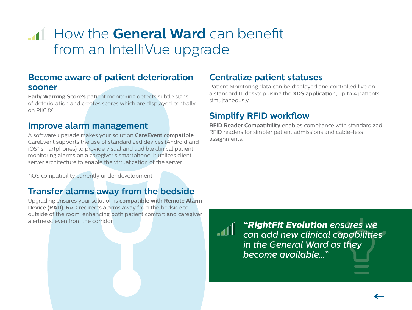### <span id="page-12-0"></span>**How the General Ward can benefit** from an IntelliVue upgrade

#### **Become aware of patient deterioration sooner**

**Early Warning Score's** patient monitoring detects subtle signs of deterioration and creates scores which are displayed centrally on PIIC iX.

#### **Improve alarm management**

A software upgrade makes your solution **CareEvent compatible**. CareEvent supports the use of standardized devices (Android and iOS\* smartphones) to provide visual and audible clinical patient monitoring alarms on a caregiver's smartphone. It utilizes clientserver architecture to enable the virtualization of the server.

\*iOS compatibility currently under development

#### **Transfer alarms away from the bedside**

Upgrading ensures your solution is **compatible with Remote Alarm Device (RAD)**. RAD redirects alarms away from the bedside to outside of the room, enhancing both patient comfort and caregiver alertness, even from the corridor.

#### **Centralize patient statuses**

Patient Monitoring data can be displayed and controlled live on a standard IT desktop using the **XDS application**; up to 4 patients simultaneously.

#### **Simplify RFID workflow**

**RFID Reader Compatibility** enables compliance with standardized RFID readers for simpler patient admissions and cable-less assignments.

*["RightFit Evolution](#page-13-0) ensures we can add new clinical capabilities in the General Ward as they become available..."*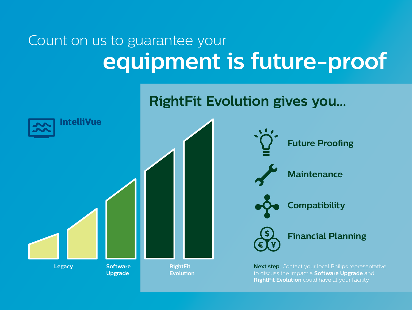# <span id="page-13-0"></span>Count on us to guarantee your **equipment is future-proof**